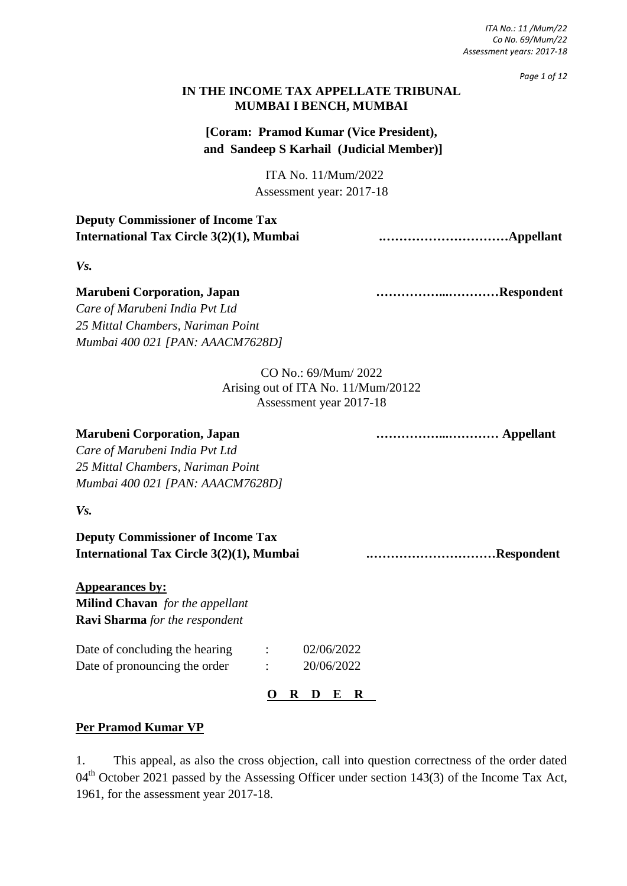*Page 1 of 12*

# **IN THE INCOME TAX APPELLATE TRIBUNAL MUMBAI I BENCH, MUMBAI**

**[Coram: Pramod Kumar (Vice President), and Sandeep S Karhail (Judicial Member)]**

> ITA No. 11/Mum/2022 Assessment year: 2017-18

| <b>Deputy Commissioner of Income Tax</b> |  |
|------------------------------------------|--|
| International Tax Circle 3(2)(1), Mumbai |  |

*Vs.*

**Marubeni Corporation, Japan ……………...…………Respondent**

*Care of Marubeni India Pvt Ltd 25 Mittal Chambers, Nariman Point Mumbai 400 021 [PAN: AAACM7628D]*

> CO No.: 69/Mum/ 2022 Arising out of ITA No. 11/Mum/20122 Assessment year 2017-18

| Marubeni Corporation, Japan                                                                        |  |
|----------------------------------------------------------------------------------------------------|--|
| $c_{1}$ $\mathbf{I}$ $\mathbf{I}$ $\mathbf{I}$ $\mathbf{R}$ $\mathbf{I}$ $\mathbf{R}$ $\mathbf{I}$ |  |

*Care of Marubeni India Pvt Ltd 25 Mittal Chambers, Nariman Point Mumbai 400 021 [PAN: AAACM7628D]*

*Vs.*

**Deputy Commissioner of Income Tax International Tax Circle 3(2)(1), Mumbai .…………………………Respondent**

**Appearances by: Milind Chavan** *for the appellant* **Ravi Sharma** *for the respondent*

|                                |            | RDER       |  |  |  |
|--------------------------------|------------|------------|--|--|--|
| Date of pronouncing the order  | 20/06/2022 |            |  |  |  |
| Date of concluding the hearing |            | 02/06/2022 |  |  |  |

# **Per Pramod Kumar VP**

1. This appeal, as also the cross objection, call into question correctness of the order dated 04<sup>th</sup> October 2021 passed by the Assessing Officer under section 143(3) of the Income Tax Act, 1961, for the assessment year 2017-18.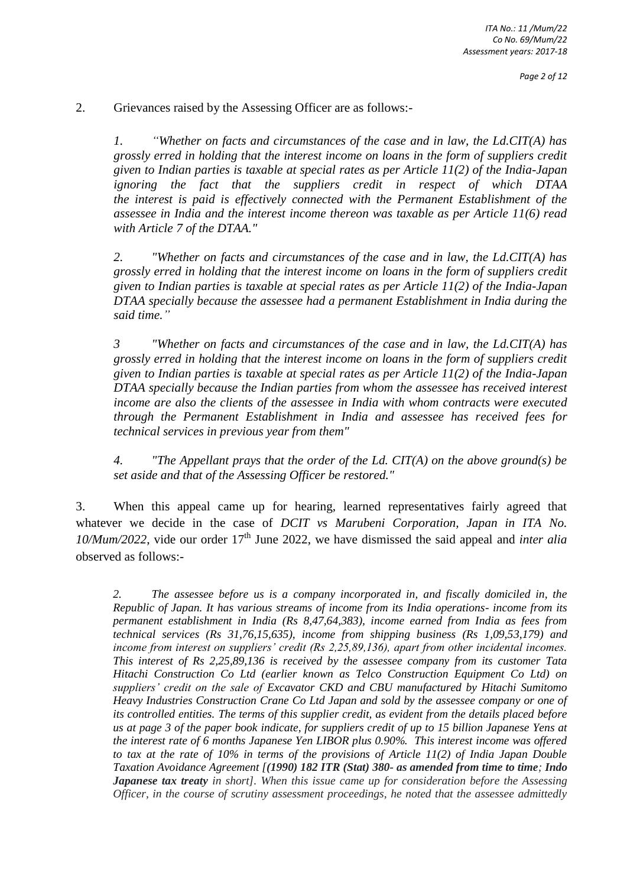*Page 2 of 12*

2. Grievances raised by the Assessing Officer are as follows:-

*1. "Whether on facts and circumstances of the case and in law, the Ld.CIT(A) has grossly erred in holding that the interest income on loans in the form of suppliers credit given to Indian parties is taxable at special rates as per Article 11(2) of the India-Japan ignoring the fact that the suppliers credit in respect of which DTAA the interest is paid is effectively connected with the Permanent Establishment of the assessee in India and the interest income thereon was taxable as per Article 11(6) read with Article 7 of the DTAA."*

*2. "Whether on facts and circumstances of the case and in law, the Ld.CIT(A) has grossly erred in holding that the interest income on loans in the form of suppliers credit given to Indian parties is taxable at special rates as per Article 11(2) of the India-Japan DTAA specially because the assessee had a permanent Establishment in India during the said time."*

*3 "Whether on facts and circumstances of the case and in law, the Ld.CIT(A) has grossly erred in holding that the interest income on loans in the form of suppliers credit given to Indian parties is taxable at special rates as per Article 11(2) of the India-Japan DTAA specially because the Indian parties from whom the assessee has received interest income are also the clients of the assessee in India with whom contracts were executed through the Permanent Establishment in India and assessee has received fees for technical services in previous year from them"*

*4. "The Appellant prays that the order of the Ld. CIT(A) on the above ground(s) be set aside and that of the Assessing Officer be restored."* 

3. When this appeal came up for hearing, learned representatives fairly agreed that whatever we decide in the case of *DCIT vs Marubeni Corporation, Japan in ITA No. 10/Mum/2022*, vide our order 17th June 2022, we have dismissed the said appeal and *inter alia* observed as follows:-

*2. The assessee before us is a company incorporated in, and fiscally domiciled in, the Republic of Japan. It has various streams of income from its India operations- income from its permanent establishment in India (Rs 8,47,64,383), income earned from India as fees from technical services (Rs 31,76,15,635), income from shipping business (Rs 1,09,53,179) and income from interest on suppliers" credit (Rs 2,25,89,136), apart from other incidental incomes. This interest of Rs 2,25,89,136 is received by the assessee company from its customer Tata Hitachi Construction Co Ltd (earlier known as Telco Construction Equipment Co Ltd) on suppliers" credit on the sale of Excavator CKD and CBU manufactured by Hitachi Sumitomo Heavy Industries Construction Crane Co Ltd Japan and sold by the assessee company or one of its controlled entities. The terms of this supplier credit, as evident from the details placed before us at page 3 of the paper book indicate, for suppliers credit of up to 15 billion Japanese Yens at the interest rate of 6 months Japanese Yen LIBOR plus 0.90%. This interest income was offered to tax at the rate of 10% in terms of the provisions of Article 11(2) of India Japan Double Taxation Avoidance Agreement [(1990) 182 ITR (Stat) 380- as amended from time to time; Indo Japanese tax treaty in short]. When this issue came up for consideration before the Assessing Officer, in the course of scrutiny assessment proceedings, he noted that the assessee admittedly*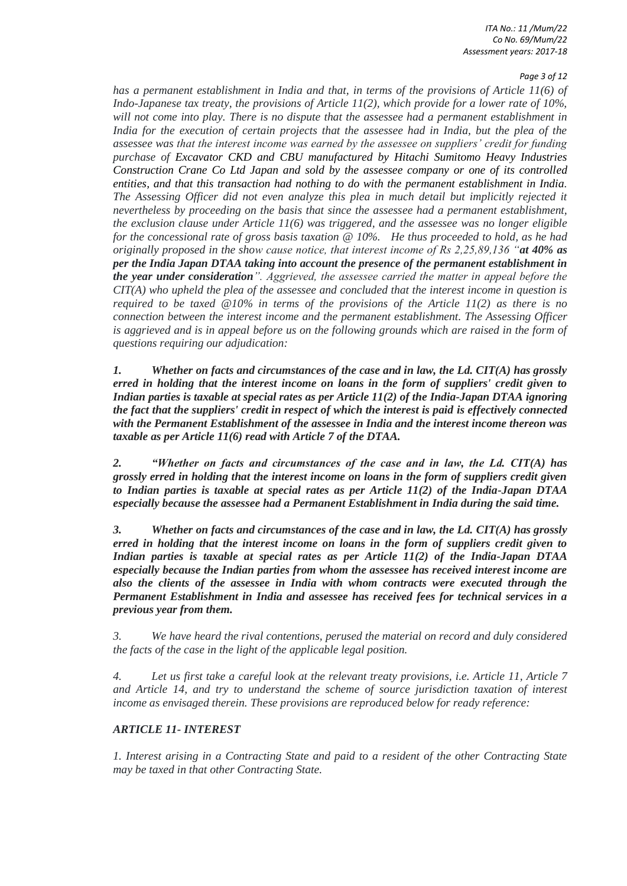#### *Page 3 of 12*

*has a permanent establishment in India and that, in terms of the provisions of Article 11(6) of Indo-Japanese tax treaty, the provisions of Article 11(2), which provide for a lower rate of 10%, will not come into play. There is no dispute that the assessee had a permanent establishment in India for the execution of certain projects that the assessee had in India, but the plea of the assessee was that the interest income was earned by the assessee on suppliers" credit for funding purchase of Excavator CKD and CBU manufactured by Hitachi Sumitomo Heavy Industries Construction Crane Co Ltd Japan and sold by the assessee company or one of its controlled entities, and that this transaction had nothing to do with the permanent establishment in India. The Assessing Officer did not even analyze this plea in much detail but implicitly rejected it nevertheless by proceeding on the basis that since the assessee had a permanent establishment, the exclusion clause under Article 11(6) was triggered, and the assessee was no longer eligible for the concessional rate of gross basis taxation @ 10%. He thus proceeded to hold, as he had originally proposed in the show cause notice, that interest income of Rs 2,25,89,136 "at 40% as per the India Japan DTAA taking into account the presence of the permanent establishment in the year under consideration". Aggrieved, the assessee carried the matter in appeal before the CIT(A) who upheld the plea of the assessee and concluded that the interest income in question is required to be taxed @10% in terms of the provisions of the Article 11(2) as there is no connection between the interest income and the permanent establishment. The Assessing Officer*  is aggrieved and is in appeal before us on the following grounds which are raised in the form of *questions requiring our adjudication:*

*1. Whether on facts and circumstances of the case and in law, the Ld. CIT(A) has grossly erred in holding that the interest income on loans in the form of suppliers' credit given to Indian parties is taxable at special rates as per Article 11(2) of the India-Japan DTAA ignoring the fact that the suppliers' credit in respect of which the interest is paid is effectively connected with the Permanent Establishment of the assessee in India and the interest income thereon was taxable as per Article 11(6) read with Article 7 of the DTAA.*

*2. "Whether on facts and circumstances of the case and in law, the Ld. CIT(A) has grossly erred in holding that the interest income on loans in the form of suppliers credit given to Indian parties is taxable at special rates as per Article 11(2) of the India-Japan DTAA especially because the assessee had a Permanent Establishment in India during the said time.*

*3. Whether on facts and circumstances of the case and in law, the Ld. CIT(A) has grossly erred in holding that the interest income on loans in the form of suppliers credit given to Indian parties is taxable at special rates as per Article 11(2) of the India-Japan DTAA especially because the Indian parties from whom the assessee has received interest income are also the clients of the assessee in India with whom contracts were executed through the Permanent Establishment in India and assessee has received fees for technical services in a previous year from them.*

*3. We have heard the rival contentions, perused the material on record and duly considered the facts of the case in the light of the applicable legal position.*

*4. Let us first take a careful look at the relevant treaty provisions, i.e. Article 11, Article 7 and Article 14, and try to understand the scheme of source jurisdiction taxation of interest income as envisaged therein. These provisions are reproduced below for ready reference:*

## *ARTICLE 11- INTEREST*

*1. Interest arising in a Contracting State and paid to a resident of the other Contracting State may be taxed in that other Contracting State.*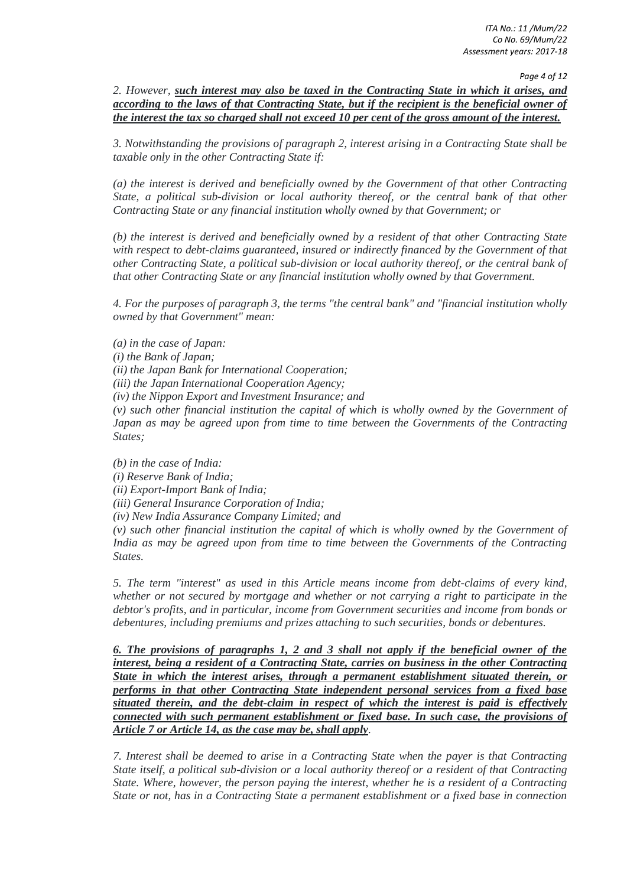*Page 4 of 12*

*2. However, such interest may also be taxed in the Contracting State in which it arises, and according to the laws of that Contracting State, but if the recipient is the beneficial owner of the interest the tax so charged shall not exceed 10 per cent of the gross amount of the interest.*

*3. Notwithstanding the provisions of paragraph 2, interest arising in a Contracting State shall be taxable only in the other Contracting State if:*

*(a) the interest is derived and beneficially owned by the Government of that other Contracting State, a political sub-division or local authority thereof, or the central bank of that other Contracting State or any financial institution wholly owned by that Government; or*

*(b) the interest is derived and beneficially owned by a resident of that other Contracting State with respect to debt-claims guaranteed, insured or indirectly financed by the Government of that other Contracting State, a political sub-division or local authority thereof, or the central bank of that other Contracting State or any financial institution wholly owned by that Government.*

*4. For the purposes of paragraph 3, the terms "the central bank" and "financial institution wholly owned by that Government" mean:*

*(a) in the case of Japan:*

*(i) the Bank of Japan;*

*(ii) the Japan Bank for International Cooperation;*

*(iii) the Japan International Cooperation Agency;*

*(iv) the Nippon Export and Investment Insurance; and*

*(v) such other financial institution the capital of which is wholly owned by the Government of Japan as may be agreed upon from time to time between the Governments of the Contracting States;*

*(b) in the case of India:*

*(i) Reserve Bank of India;*

*(ii) Export-Import Bank of India;*

*(iii) General Insurance Corporation of India;*

*(iv) New India Assurance Company Limited; and*

*(v) such other financial institution the capital of which is wholly owned by the Government of India as may be agreed upon from time to time between the Governments of the Contracting States.*

*5. The term "interest" as used in this Article means income from debt-claims of every kind, whether or not secured by mortgage and whether or not carrying a right to participate in the debtor's profits, and in particular, income from Government securities and income from bonds or debentures, including premiums and prizes attaching to such securities, bonds or debentures.*

*6. The provisions of paragraphs 1, 2 and 3 shall not apply if the beneficial owner of the interest, being a resident of a Contracting State, carries on business in the other Contracting State in which the interest arises, through a permanent establishment situated therein, or performs in that other Contracting State independent personal services from a fixed base situated therein, and the debt-claim in respect of which the interest is paid is effectively connected with such permanent establishment or fixed base. In such case, the provisions of Article 7 or Article 14, as the case may be, shall apply.*

*7. Interest shall be deemed to arise in a Contracting State when the payer is that Contracting State itself, a political sub-division or a local authority thereof or a resident of that Contracting State. Where, however, the person paying the interest, whether he is a resident of a Contracting State or not, has in a Contracting State a permanent establishment or a fixed base in connection*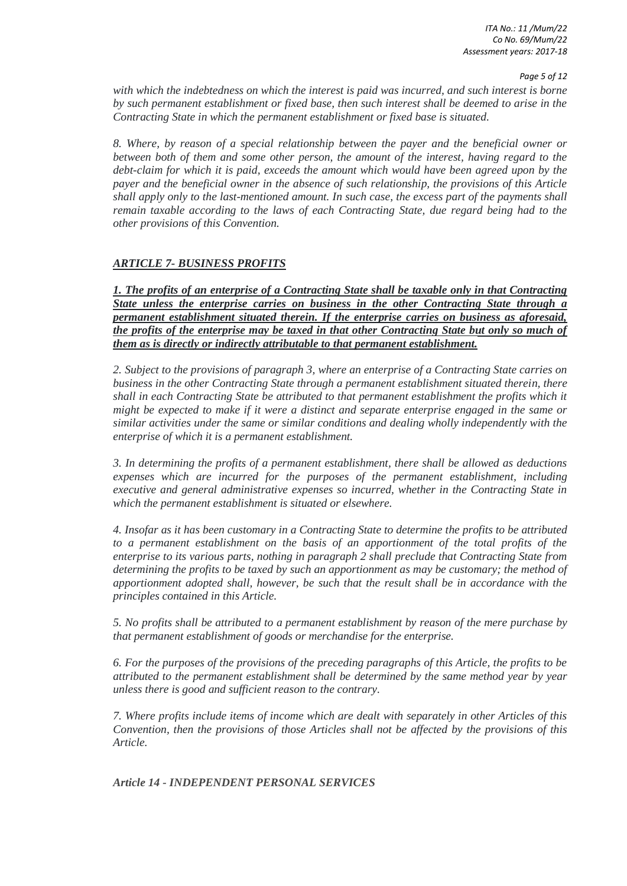#### *Page 5 of 12*

*with which the indebtedness on which the interest is paid was incurred, and such interest is borne by such permanent establishment or fixed base, then such interest shall be deemed to arise in the Contracting State in which the permanent establishment or fixed base is situated.*

*8. Where, by reason of a special relationship between the payer and the beneficial owner or between both of them and some other person, the amount of the interest, having regard to the debt-claim for which it is paid, exceeds the amount which would have been agreed upon by the payer and the beneficial owner in the absence of such relationship, the provisions of this Article shall apply only to the last-mentioned amount. In such case, the excess part of the payments shall remain taxable according to the laws of each Contracting State, due regard being had to the other provisions of this Convention.*

# *ARTICLE 7- BUSINESS PROFITS*

*1. The profits of an enterprise of a Contracting State shall be taxable only in that Contracting State unless the enterprise carries on business in the other Contracting State through a permanent establishment situated therein. If the enterprise carries on business as aforesaid, the profits of the enterprise may be taxed in that other Contracting State but only so much of them as is directly or indirectly attributable to that permanent establishment.*

*2. Subject to the provisions of paragraph 3, where an enterprise of a Contracting State carries on business in the other Contracting State through a permanent establishment situated therein, there shall in each Contracting State be attributed to that permanent establishment the profits which it might be expected to make if it were a distinct and separate enterprise engaged in the same or similar activities under the same or similar conditions and dealing wholly independently with the enterprise of which it is a permanent establishment.*

*3. In determining the profits of a permanent establishment, there shall be allowed as deductions expenses which are incurred for the purposes of the permanent establishment, including executive and general administrative expenses so incurred, whether in the Contracting State in which the permanent establishment is situated or elsewhere.*

*4. Insofar as it has been customary in a Contracting State to determine the profits to be attributed to a permanent establishment on the basis of an apportionment of the total profits of the enterprise to its various parts, nothing in paragraph 2 shall preclude that Contracting State from determining the profits to be taxed by such an apportionment as may be customary; the method of apportionment adopted shall, however, be such that the result shall be in accordance with the principles contained in this Article.*

*5. No profits shall be attributed to a permanent establishment by reason of the mere purchase by that permanent establishment of goods or merchandise for the enterprise.*

*6. For the purposes of the provisions of the preceding paragraphs of this Article, the profits to be attributed to the permanent establishment shall be determined by the same method year by year unless there is good and sufficient reason to the contrary.*

*7. Where profits include items of income which are dealt with separately in other Articles of this Convention, then the provisions of those Articles shall not be affected by the provisions of this Article.*

*Article 14 - INDEPENDENT PERSONAL SERVICES*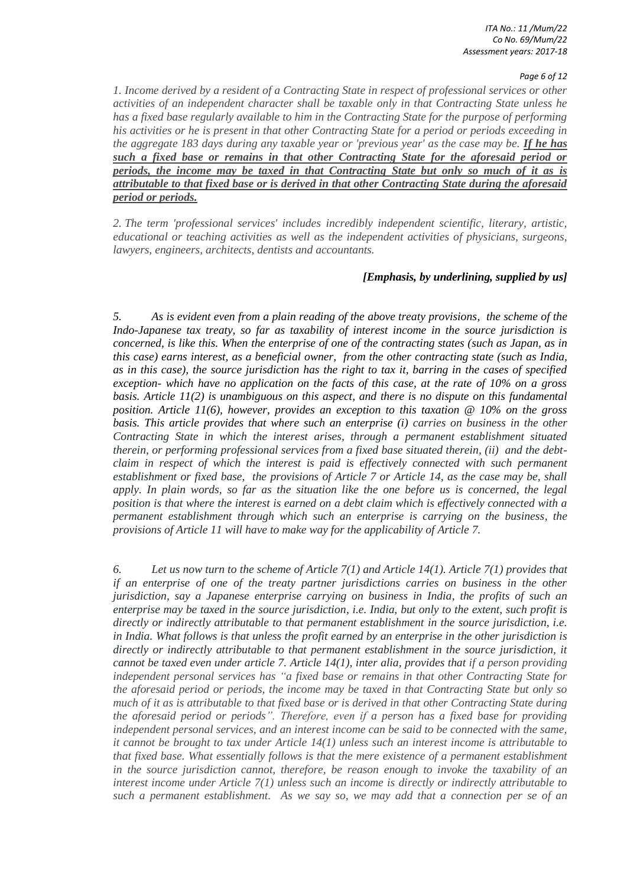*Page 6 of 12*

*1. Income derived by a resident of a Contracting State in respect of professional services or other activities of an independent character shall be taxable only in that Contracting State unless he has a fixed base regularly available to him in the Contracting State for the purpose of performing his activities or he is present in that other Contracting State for a period or periods exceeding in the aggregate 183 days during any taxable year or 'previous year' as the case may be. If he has such a fixed base or remains in that other Contracting State for the aforesaid period or periods, the income may be taxed in that Contracting State but only so much of it as is attributable to that fixed base or is derived in that other Contracting State during the aforesaid period or periods.*

*2. The term 'professional services' includes incredibly independent scientific, literary, artistic, educational or teaching activities as well as the independent activities of physicians, surgeons, lawyers, engineers, architects, dentists and accountants.*

### *[Emphasis, by underlining, supplied by us]*

*5. As is evident even from a plain reading of the above treaty provisions, the scheme of the Indo-Japanese tax treaty, so far as taxability of interest income in the source jurisdiction is concerned, is like this. When the enterprise of one of the contracting states (such as Japan, as in this case) earns interest, as a beneficial owner, from the other contracting state (such as India, as in this case), the source jurisdiction has the right to tax it, barring in the cases of specified exception- which have no application on the facts of this case, at the rate of 10% on a gross basis. Article 11(2) is unambiguous on this aspect, and there is no dispute on this fundamental position. Article 11(6), however, provides an exception to this taxation @ 10% on the gross basis. This article provides that where such an enterprise (i) carries on business in the other Contracting State in which the interest arises, through a permanent establishment situated therein, or performing professional services from a fixed base situated therein, (ii) and the debtclaim in respect of which the interest is paid is effectively connected with such permanent establishment or fixed base, the provisions of Article 7 or Article 14, as the case may be, shall apply. In plain words, so far as the situation like the one before us is concerned, the legal position is that where the interest is earned on a debt claim which is effectively connected with a permanent establishment through which such an enterprise is carrying on the business, the provisions of Article 11 will have to make way for the applicability of Article 7.* 

*6. Let us now turn to the scheme of Article 7(1) and Article 14(1). Article 7(1) provides that if an enterprise of one of the treaty partner jurisdictions carries on business in the other jurisdiction, say a Japanese enterprise carrying on business in India, the profits of such an enterprise may be taxed in the source jurisdiction, i.e. India, but only to the extent, such profit is directly or indirectly attributable to that permanent establishment in the source jurisdiction, i.e. in India. What follows is that unless the profit earned by an enterprise in the other jurisdiction is directly or indirectly attributable to that permanent establishment in the source jurisdiction, it cannot be taxed even under article 7. Article 14(1), inter alia, provides that if a person providing independent personal services has "a fixed base or remains in that other Contracting State for the aforesaid period or periods, the income may be taxed in that Contracting State but only so much of it as is attributable to that fixed base or is derived in that other Contracting State during the aforesaid period or periods". Therefore, even if a person has a fixed base for providing independent personal services, and an interest income can be said to be connected with the same, it cannot be brought to tax under Article 14(1) unless such an interest income is attributable to that fixed base. What essentially follows is that the mere existence of a permanent establishment in the source jurisdiction cannot, therefore, be reason enough to invoke the taxability of an interest income under Article 7(1) unless such an income is directly or indirectly attributable to such a permanent establishment. As we say so, we may add that a connection per se of an*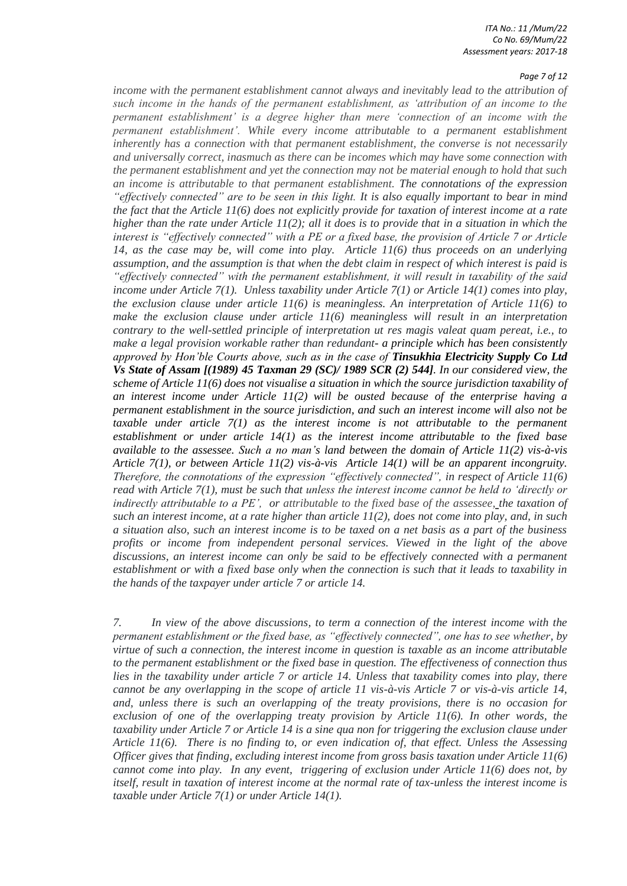#### *Page 7 of 12*

*income with the permanent establishment cannot always and inevitably lead to the attribution of such income in the hands of the permanent establishment, as "attribution of an income to the permanent establishment" is a degree higher than mere "connection of an income with the permanent establishment". While every income attributable to a permanent establishment inherently has a connection with that permanent establishment, the converse is not necessarily and universally correct, inasmuch as there can be incomes which may have some connection with the permanent establishment and yet the connection may not be material enough to hold that such an income is attributable to that permanent establishment. The connotations of the expression "effectively connected" are to be seen in this light. It is also equally important to bear in mind the fact that the Article 11(6) does not explicitly provide for taxation of interest income at a rate higher than the rate under Article 11(2); all it does is to provide that in a situation in which the interest is "effectively connected" with a PE or a fixed base, the provision of Article 7 or Article 14, as the case may be, will come into play. Article 11(6) thus proceeds on an underlying assumption, and the assumption is that when the debt claim in respect of which interest is paid is "effectively connected" with the permanent establishment, it will result in taxability of the said income under Article 7(1). Unless taxability under Article 7(1) or Article 14(1) comes into play, the exclusion clause under article 11(6) is meaningless. An interpretation of Article 11(6) to make the exclusion clause under article 11(6) meaningless will result in an interpretation contrary to the well-settled principle of interpretation ut res magis valeat quam pereat, i.e., to make a legal provision workable rather than redundant- a principle which has been consistently approved by Hon"ble Courts above, such as in the case of Tinsukhia Electricity Supply Co Ltd Vs State of Assam [(1989) 45 Taxman 29 (SC)/ 1989 SCR (2) 544]. In our considered view, the scheme of Article 11(6) does not visualise a situation in which the source jurisdiction taxability of an interest income under Article 11(2) will be ousted because of the enterprise having a permanent establishment in the source jurisdiction, and such an interest income will also not be taxable under article 7(1) as the interest income is not attributable to the permanent establishment or under article 14(1) as the interest income attributable to the fixed base available to the assessee. Such a no man"s land between the domain of Article 11(2) vis-à-vis Article 7(1), or between Article 11(2) vis-à-vis Article 14(1) will be an apparent incongruity. Therefore, the connotations of the expression "effectively connected", in respect of Article 11(6) read with Article 7(1), must be such that unless the interest income cannot be held to "directly or indirectly attributable to a PE", or attributable to the fixed base of the assessee, the taxation of such an interest income, at a rate higher than article 11(2), does not come into play, and, in such a situation also, such an interest income is to be taxed on a net basis as a part of the business profits or income from independent personal services. Viewed in the light of the above discussions, an interest income can only be said to be effectively connected with a permanent establishment or with a fixed base only when the connection is such that it leads to taxability in the hands of the taxpayer under article 7 or article 14.* 

*7. In view of the above discussions, to term a connection of the interest income with the permanent establishment or the fixed base, as "effectively connected", one has to see whether, by virtue of such a connection, the interest income in question is taxable as an income attributable to the permanent establishment or the fixed base in question. The effectiveness of connection thus lies in the taxability under article 7 or article 14. Unless that taxability comes into play, there cannot be any overlapping in the scope of article 11 vis-à-vis Article 7 or vis-à-vis article 14, and, unless there is such an overlapping of the treaty provisions, there is no occasion for exclusion of one of the overlapping treaty provision by Article 11(6). In other words, the taxability under Article 7 or Article 14 is a sine qua non for triggering the exclusion clause under Article 11(6). There is no finding to, or even indication of, that effect. Unless the Assessing Officer gives that finding, excluding interest income from gross basis taxation under Article 11(6) cannot come into play. In any event, triggering of exclusion under Article 11(6) does not, by itself, result in taxation of interest income at the normal rate of tax-unless the interest income is taxable under Article 7(1) or under Article 14(1).*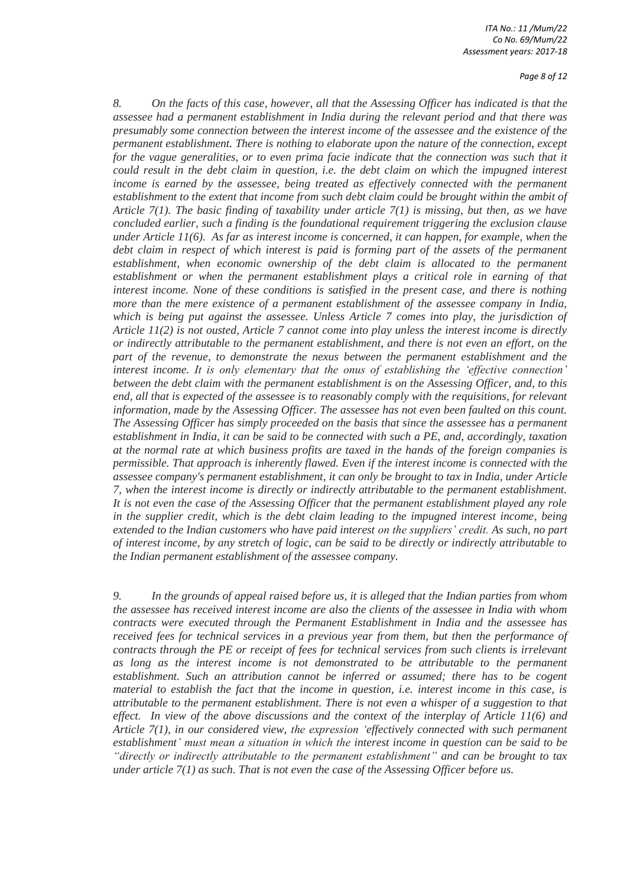#### *Page 8 of 12*

*8. On the facts of this case, however, all that the Assessing Officer has indicated is that the assessee had a permanent establishment in India during the relevant period and that there was presumably some connection between the interest income of the assessee and the existence of the permanent establishment. There is nothing to elaborate upon the nature of the connection, except for the vague generalities, or to even prima facie indicate that the connection was such that it could result in the debt claim in question, i.e. the debt claim on which the impugned interest income is earned by the assessee, being treated as effectively connected with the permanent establishment to the extent that income from such debt claim could be brought within the ambit of Article 7(1). The basic finding of taxability under article 7(1) is missing, but then, as we have concluded earlier, such a finding is the foundational requirement triggering the exclusion clause under Article 11(6). As far as interest income is concerned, it can happen, for example, when the debt claim in respect of which interest is paid is forming part of the assets of the permanent establishment, when economic ownership of the debt claim is allocated to the permanent establishment or when the permanent establishment plays a critical role in earning of that interest income. None of these conditions is satisfied in the present case, and there is nothing more than the mere existence of a permanent establishment of the assessee company in India, which is being put against the assessee. Unless Article 7 comes into play, the jurisdiction of Article 11(2) is not ousted, Article 7 cannot come into play unless the interest income is directly or indirectly attributable to the permanent establishment, and there is not even an effort, on the part of the revenue, to demonstrate the nexus between the permanent establishment and the interest income. It is only elementary that the onus of establishing the "effective connection" between the debt claim with the permanent establishment is on the Assessing Officer, and, to this end, all that is expected of the assessee is to reasonably comply with the requisitions, for relevant information, made by the Assessing Officer. The assessee has not even been faulted on this count. The Assessing Officer has simply proceeded on the basis that since the assessee has a permanent establishment in India, it can be said to be connected with such a PE, and, accordingly, taxation at the normal rate at which business profits are taxed in the hands of the foreign companies is permissible. That approach is inherently flawed. Even if the interest income is connected with the assessee company's permanent establishment, it can only be brought to tax in India, under Article 7, when the interest income is directly or indirectly attributable to the permanent establishment. It is not even the case of the Assessing Officer that the permanent establishment played any role in the supplier credit, which is the debt claim leading to the impugned interest income, being extended to the Indian customers who have paid interest on the suppliers" credit. As such, no part of interest income, by any stretch of logic, can be said to be directly or indirectly attributable to the Indian permanent establishment of the assessee company.* 

*9. In the grounds of appeal raised before us, it is alleged that the Indian parties from whom the assessee has received interest income are also the clients of the assessee in India with whom contracts were executed through the Permanent Establishment in India and the assessee has received fees for technical services in a previous year from them, but then the performance of contracts through the PE or receipt of fees for technical services from such clients is irrelevant as long as the interest income is not demonstrated to be attributable to the permanent establishment. Such an attribution cannot be inferred or assumed; there has to be cogent material to establish the fact that the income in question, i.e. interest income in this case, is attributable to the permanent establishment. There is not even a whisper of a suggestion to that effect. In view of the above discussions and the context of the interplay of Article 11(6) and Article 7(1), in our considered view, the expression "effectively connected with such permanent establishment" must mean a situation in which the interest income in question can be said to be "directly or indirectly attributable to the permanent establishment" and can be brought to tax under article 7(1) as such. That is not even the case of the Assessing Officer before us.*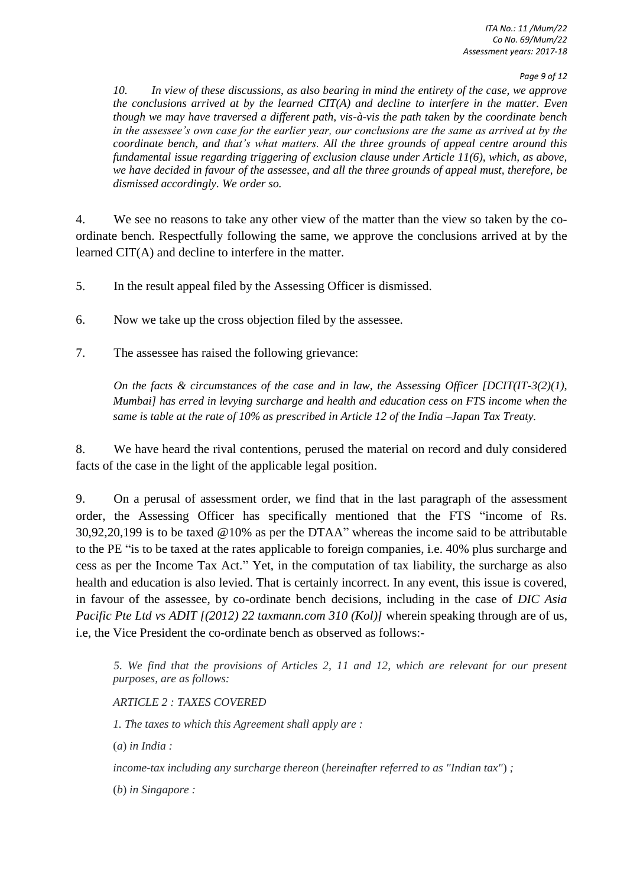*Page 9 of 12*

*10. In view of these discussions, as also bearing in mind the entirety of the case, we approve the conclusions arrived at by the learned CIT(A) and decline to interfere in the matter. Even though we may have traversed a different path, vis-à-vis the path taken by the coordinate bench in the assessee"s own case for the earlier year, our conclusions are the same as arrived at by the coordinate bench, and that"s what matters. All the three grounds of appeal centre around this fundamental issue regarding triggering of exclusion clause under Article 11(6), which, as above, we have decided in favour of the assessee, and all the three grounds of appeal must, therefore, be dismissed accordingly. We order so.* 

4. We see no reasons to take any other view of the matter than the view so taken by the coordinate bench. Respectfully following the same, we approve the conclusions arrived at by the learned CIT(A) and decline to interfere in the matter.

5. In the result appeal filed by the Assessing Officer is dismissed.

6. Now we take up the cross objection filed by the assessee.

7. The assessee has raised the following grievance:

*On the facts & circumstances of the case and in law, the Assessing Officer [DCIT(IT-3(2)(1), Mumbai] has erred in levying surcharge and health and education cess on FTS income when the same is table at the rate of 10% as prescribed in Article 12 of the India –Japan Tax Treaty.*

8. We have heard the rival contentions, perused the material on record and duly considered facts of the case in the light of the applicable legal position.

9. On a perusal of assessment order, we find that in the last paragraph of the assessment order, the Assessing Officer has specifically mentioned that the FTS "income of Rs. 30,92,20,199 is to be taxed @10% as per the DTAA" whereas the income said to be attributable to the PE "is to be taxed at the rates applicable to foreign companies, i.e. 40% plus surcharge and cess as per the Income Tax Act." Yet, in the computation of tax liability, the surcharge as also health and education is also levied. That is certainly incorrect. In any event, this issue is covered, in favour of the assessee, by co-ordinate bench decisions, including in the case of *DIC Asia Pacific Pte Ltd vs ADIT [(2012) 22 taxmann.com 310 (Kol)]* wherein speaking through are of us, i.e, the Vice President the co-ordinate bench as observed as follows:-

*5. We find that the provisions of Articles 2, 11 and 12, which are relevant for our present purposes, are as follows:*

*ARTICLE 2 : TAXES COVERED*

*1. The taxes to which this Agreement shall apply are :*

(*a*) *in India :*

*income-tax including any surcharge thereon* (*hereinafter referred to as "Indian tax"*) *;*

(*b*) *in Singapore :*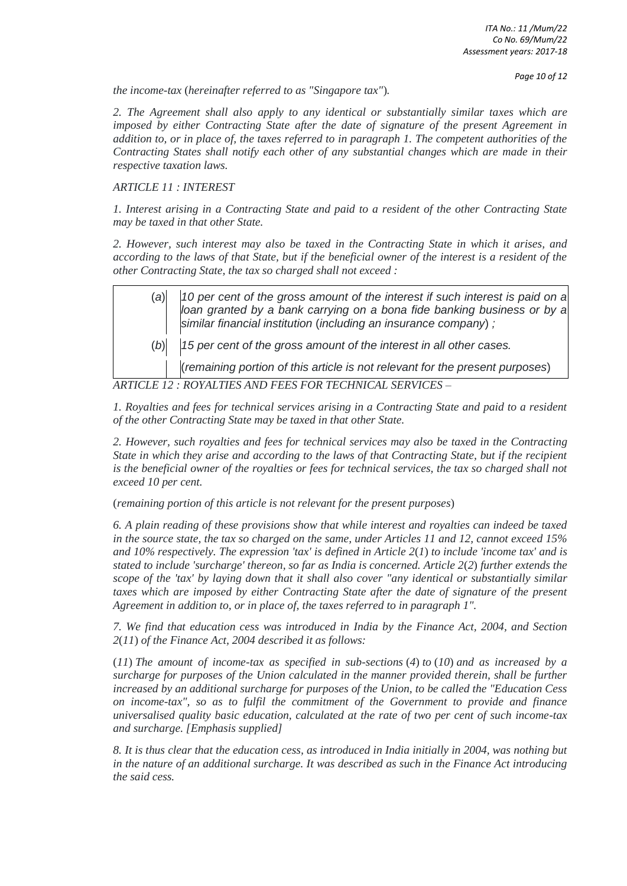*the income-tax* (*hereinafter referred to as "Singapore tax"*)*.*

*2. The Agreement shall also apply to any identical or substantially similar taxes which are imposed by either Contracting State after the date of signature of the present Agreement in addition to, or in place of, the taxes referred to in paragraph 1. The competent authorities of the Contracting States shall notify each other of any substantial changes which are made in their respective taxation laws.*

# *ARTICLE 11 : INTEREST*

*1. Interest arising in a Contracting State and paid to a resident of the other Contracting State may be taxed in that other State.*

*2. However, such interest may also be taxed in the Contracting State in which it arises, and according to the laws of that State, but if the beneficial owner of the interest is a resident of the other Contracting State, the tax so charged shall not exceed :*

| (a) | 10 per cent of the gross amount of the interest if such interest is paid on a<br>loan granted by a bank carrying on a bona fide banking business or by a<br>similar financial institution (including an insurance company); |
|-----|-----------------------------------------------------------------------------------------------------------------------------------------------------------------------------------------------------------------------------|
| (b) | 15 per cent of the gross amount of the interest in all other cases.                                                                                                                                                         |
|     | (remaining portion of this article is not relevant for the present purposes)                                                                                                                                                |

*ARTICLE 12 : ROYALTIES AND FEES FOR TECHNICAL SERVICES –*

*1. Royalties and fees for technical services arising in a Contracting State and paid to a resident of the other Contracting State may be taxed in that other State.*

*2. However, such royalties and fees for technical services may also be taxed in the Contracting State in which they arise and according to the laws of that Contracting State, but if the recipient is the beneficial owner of the royalties or fees for technical services, the tax so charged shall not exceed 10 per cent.*

(*remaining portion of this article is not relevant for the present purposes*)

*6. A plain reading of these provisions show that while interest and royalties can indeed be taxed in the source state, the tax so charged on the same, under Articles 11 and 12, cannot exceed 15% and 10% respectively. The expression 'tax' is defined in Article 2*(*1*) *to include 'income tax' and is stated to include 'surcharge' thereon, so far as India is concerned. Article 2*(*2*) *further extends the scope of the 'tax' by laying down that it shall also cover "any identical or substantially similar*  taxes which are imposed by either Contracting State after the date of signature of the present *Agreement in addition to, or in place of, the taxes referred to in paragraph 1".*

*7. We find that education cess was introduced in India by the Finance Act, 2004, and Section 2*(*11*) *of the Finance Act, 2004 described it as follows:*

(*11*) *The amount of income-tax as specified in sub-sections* (*4*) *to* (*10*) *and as increased by a surcharge for purposes of the Union calculated in the manner provided therein, shall be further increased by an additional surcharge for purposes of the Union, to be called the "Education Cess on income-tax", so as to fulfil the commitment of the Government to provide and finance universalised quality basic education, calculated at the rate of two per cent of such income-tax and surcharge. [Emphasis supplied]*

*8. It is thus clear that the education cess, as introduced in India initially in 2004, was nothing but in the nature of an additional surcharge. It was described as such in the Finance Act introducing the said cess.*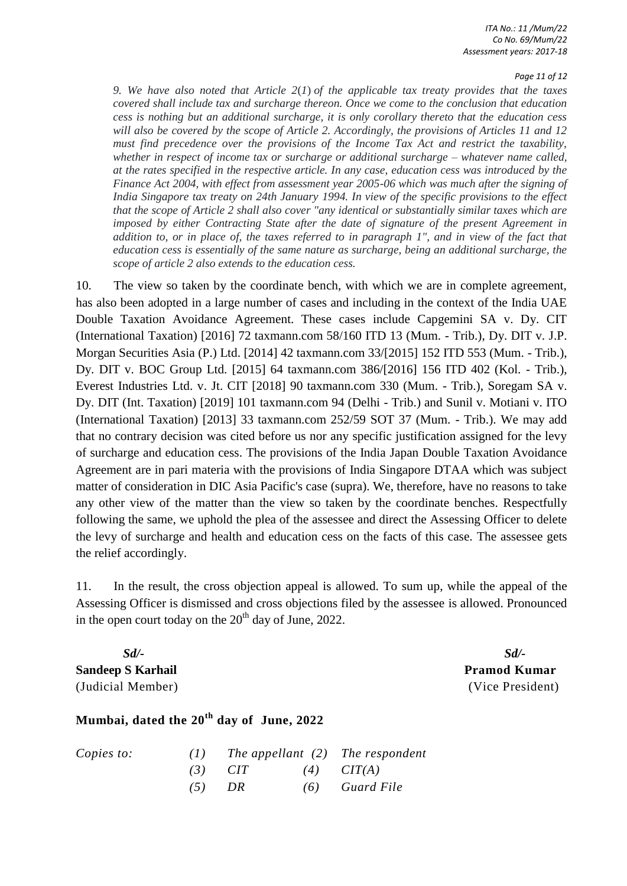#### *Page 11 of 12*

*9. We have also noted that Article 2*(*1*) *of the applicable tax treaty provides that the taxes covered shall include tax and surcharge thereon. Once we come to the conclusion that education cess is nothing but an additional surcharge, it is only corollary thereto that the education cess will also be covered by the scope of Article 2. Accordingly, the provisions of Articles 11 and 12 must find precedence over the provisions of the Income Tax Act and restrict the taxability, whether in respect of income tax or surcharge or additional surcharge – whatever name called, at the rates specified in the respective article. In any case, education cess was introduced by the Finance Act 2004, with effect from assessment year 2005-06 which was much after the signing of India Singapore tax treaty on 24th January 1994. In view of the specific provisions to the effect that the scope of Article 2 shall also cover "any identical or substantially similar taxes which are imposed by either Contracting State after the date of signature of the present Agreement in addition to, or in place of, the taxes referred to in paragraph 1", and in view of the fact that education cess is essentially of the same nature as surcharge, being an additional surcharge, the scope of article 2 also extends to the education cess.*

10. The view so taken by the coordinate bench, with which we are in complete agreement, has also been adopted in a large number of cases and including in the context of the India UAE Double Taxation Avoidance Agreement. These cases include Capgemini SA v. Dy. CIT (International Taxation) [2016] 72 taxmann.com 58/160 ITD 13 (Mum. - Trib.), Dy. DIT v. J.P. Morgan Securities Asia (P.) Ltd. [2014] 42 taxmann.com 33/[2015] 152 ITD 553 (Mum. - Trib.), Dy. DIT v. BOC Group Ltd. [2015] 64 taxmann.com 386/[2016] 156 ITD 402 (Kol. - Trib.), Everest Industries Ltd. v. Jt. CIT [2018] 90 taxmann.com 330 (Mum. - Trib.), Soregam SA v. Dy. DIT (Int. Taxation) [2019] 101 taxmann.com 94 (Delhi - Trib.) and Sunil v. Motiani v. ITO (International Taxation) [2013] 33 taxmann.com 252/59 SOT 37 (Mum. - Trib.). We may add that no contrary decision was cited before us nor any specific justification assigned for the levy of surcharge and education cess. The provisions of the India Japan Double Taxation Avoidance Agreement are in pari materia with the provisions of India Singapore DTAA which was subject matter of consideration in DIC Asia Pacific's case (supra). We, therefore, have no reasons to take any other view of the matter than the view so taken by the coordinate benches. Respectfully following the same, we uphold the plea of the assessee and direct the Assessing Officer to delete the levy of surcharge and health and education cess on the facts of this case. The assessee gets the relief accordingly.

11. In the result, the cross objection appeal is allowed. To sum up, while the appeal of the Assessing Officer is dismissed and cross objections filed by the assessee is allowed. Pronounced in the open court today on the  $20^{th}$  day of June, 2022.

 *Sd/- Sd/-* **Sandeep S Karhail****Pramod Kumar** (Judicial Member) (Vice President)

# **Mumbai, dated the 20 th day of June, 2022**

| Copies to: |          | $(1)$ The appellant $(2)$ The respondent |                |                |
|------------|----------|------------------------------------------|----------------|----------------|
|            |          | $(3)$ $CIT$                              | $(4)$ $CIT(A)$ |                |
|            | $(5)$ DR |                                          |                | (6) Guard File |